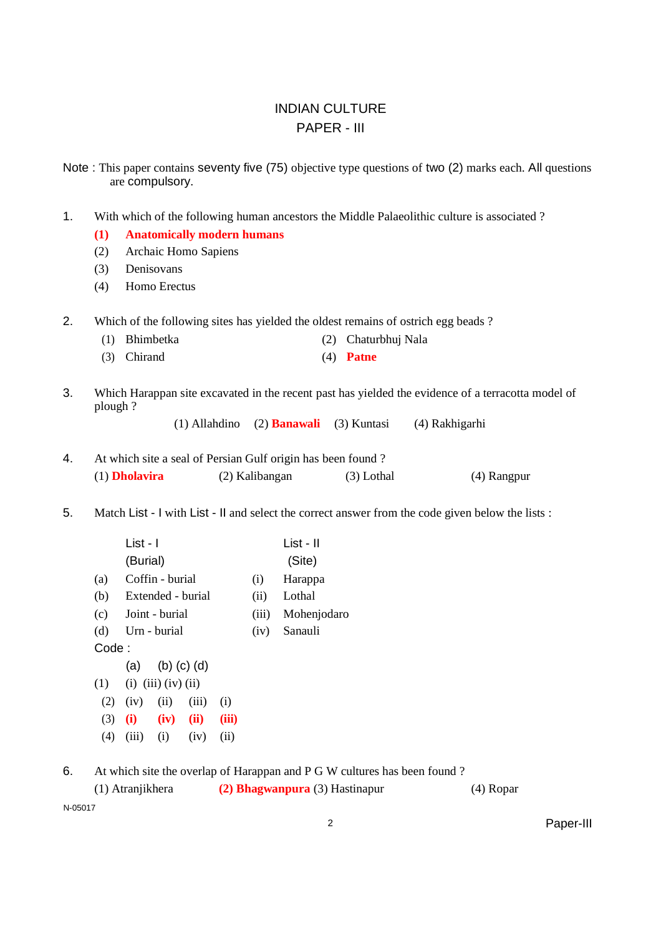## INDIAN CULTURE PAPER - III

Note : This paper contains seventy five (75) objective type questions of two (2) marks each. All questions are compulsory.

1. With which of the following human ancestors the Middle Palaeolithic culture is associated ?

### **(1) Anatomically modern humans**

- (2) Archaic Homo Sapiens
- (3) Denisovans
- (4) Homo Erectus
- 2. Which of the following sites has yielded the oldest remains of ostrich egg beads ?
	- (1) Bhimbetka (2) Chaturbhuj Nala
	- (3) Chirand (4) **Patne**
- 3. Which Harappan site excavated in the recent past has yielded the evidence of a terracotta model of plough ?

(1) Allahdino (2) **Banawali** (3) Kuntasi (4) Rakhigarhi

4. At which site a seal of Persian Gulf origin has been found ? (1) **Dholavira** (2) Kalibangan (3) Lothal (4) Rangpur

5. Match List - I with List - II and select the correct answer from the code given below the lists :

|       | List - I                     |       | List - II   |
|-------|------------------------------|-------|-------------|
|       | (Burial)                     |       | (Site)      |
| (a)   | Coffin - burial              | (i)   | Harappa     |
| (b)   | Extended - burial            | (ii)  | Lothal      |
|       | (c) Joint - burial           | (iii) | Mohenjodaro |
|       | (d) Urn - burial             | (iv)  | Sanauli     |
| Code: |                              |       |             |
|       | (a) (b) (c) (d)              |       |             |
|       | $(1)$ (i) (iii) (iv) (ii)    |       |             |
| (2)   | $(iv)$ $(ii)$ $(iii)$<br>(i) |       |             |

(3) **(i) (iv) (ii) (iii)**

 $(4)$   $(iii)$   $(i)$   $(iv)$   $(ii)$ 

6. At which site the overlap of Harappan and P G W cultures has been found ?

(1) Atranjikhera **(2) Bhagwanpura** (3) Hastinapur (4) Ropar N-05017

2 Paper-III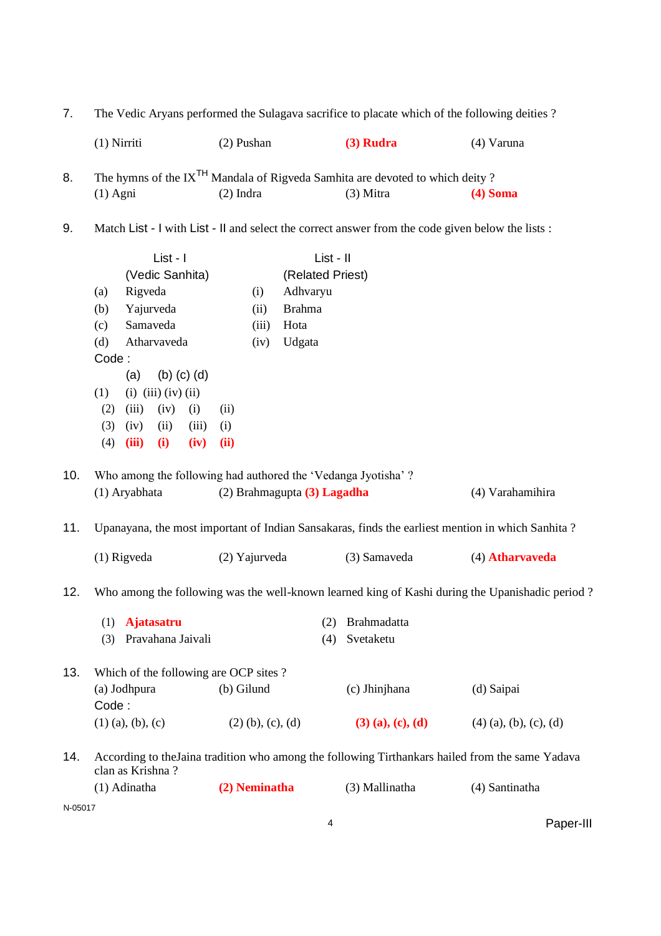| 7.      | The Vedic Aryans performed the Sulagava sacrifice to placate which of the following deities? |                             |                                                                                                   |                          |  |
|---------|----------------------------------------------------------------------------------------------|-----------------------------|---------------------------------------------------------------------------------------------------|--------------------------|--|
|         | $(1)$ Nirriti                                                                                | (2) Pushan                  | $(3)$ Rudra                                                                                       | (4) Varuna               |  |
| 8.      |                                                                                              |                             | The hymns of the IX <sup>TH</sup> Mandala of Rigveda Samhita are devoted to which deity?          |                          |  |
|         | $(1)$ Agni                                                                                   | $(2)$ Indra                 | $(3)$ Mitra                                                                                       | $(4)$ Soma               |  |
| 9.      |                                                                                              |                             | Match List - I with List - II and select the correct answer from the code given below the lists : |                          |  |
|         | List - I                                                                                     |                             | List - II                                                                                         |                          |  |
|         | (Vedic Sanhita)                                                                              |                             | (Related Priest)                                                                                  |                          |  |
|         | Rigveda<br>(a)                                                                               | Adhvaryu<br>(i)             |                                                                                                   |                          |  |
|         | Yajurveda<br>(b)                                                                             | <b>Brahma</b><br>(ii)       |                                                                                                   |                          |  |
|         | Samaveda<br>(c)                                                                              | (iii)<br>Hota               |                                                                                                   |                          |  |
|         | Atharvaveda<br>(d)                                                                           | Udgata<br>(iv)              |                                                                                                   |                          |  |
|         | Code:                                                                                        |                             |                                                                                                   |                          |  |
|         | $(b)$ $(c)$ $(d)$<br>(a)                                                                     |                             |                                                                                                   |                          |  |
|         | $(i)$ $(iii)$ $(iv)$ $(ii)$<br>(1)                                                           |                             |                                                                                                   |                          |  |
|         | (iii)<br>(iv)<br>(2)<br>(i)                                                                  | (ii)                        |                                                                                                   |                          |  |
|         | (3)<br>(iv)<br>(ii)<br>(iii)                                                                 | (i)                         |                                                                                                   |                          |  |
|         | (4)<br>(iii)<br>(i)<br>(iv)                                                                  | (ii)                        |                                                                                                   |                          |  |
| 10.     | Who among the following had authored the 'Vedanga Jyotisha'?                                 |                             |                                                                                                   |                          |  |
|         | (1) Aryabhata                                                                                | (2) Brahmagupta (3) Lagadha |                                                                                                   | (4) Varahamihira         |  |
| 11.     |                                                                                              |                             | Upanayana, the most important of Indian Sansakaras, finds the earliest mention in which Sanhita?  |                          |  |
|         | $(1)$ Rigveda                                                                                | (2) Yajurveda               | (3) Samaveda                                                                                      | (4) Atharvaveda          |  |
| 12.     |                                                                                              |                             | Who among the following was the well-known learned king of Kashi during the Upanishadic period?   |                          |  |
|         | <b>Ajatasatru</b><br>(1)                                                                     |                             | Brahmadatta<br>(2)                                                                                |                          |  |
|         | Pravahana Jaivali<br>(3)                                                                     |                             | Svetaketu<br>(4)                                                                                  |                          |  |
|         |                                                                                              |                             |                                                                                                   |                          |  |
| 13.     | Which of the following are OCP sites?                                                        |                             |                                                                                                   |                          |  |
|         | (a) Jodhpura                                                                                 | (b) Gilund                  | (c) Jhinjhana                                                                                     | (d) Saipai               |  |
|         | Code:                                                                                        |                             |                                                                                                   |                          |  |
|         | $(1)$ (a), (b), (c)                                                                          | $(2)$ (b), (c), (d)         | $(3)$ (a), (c), (d)                                                                               | $(4)$ (a), (b), (c), (d) |  |
| 14.     | clan as Krishna?                                                                             |                             | According to the Jaina tradition who among the following Tirthankars hailed from the same Yadava  |                          |  |
|         | (1) Adinatha                                                                                 | (2) Neminatha               | (3) Mallinatha                                                                                    | (4) Santinatha           |  |
| N-05017 |                                                                                              |                             |                                                                                                   |                          |  |

4 Paper-III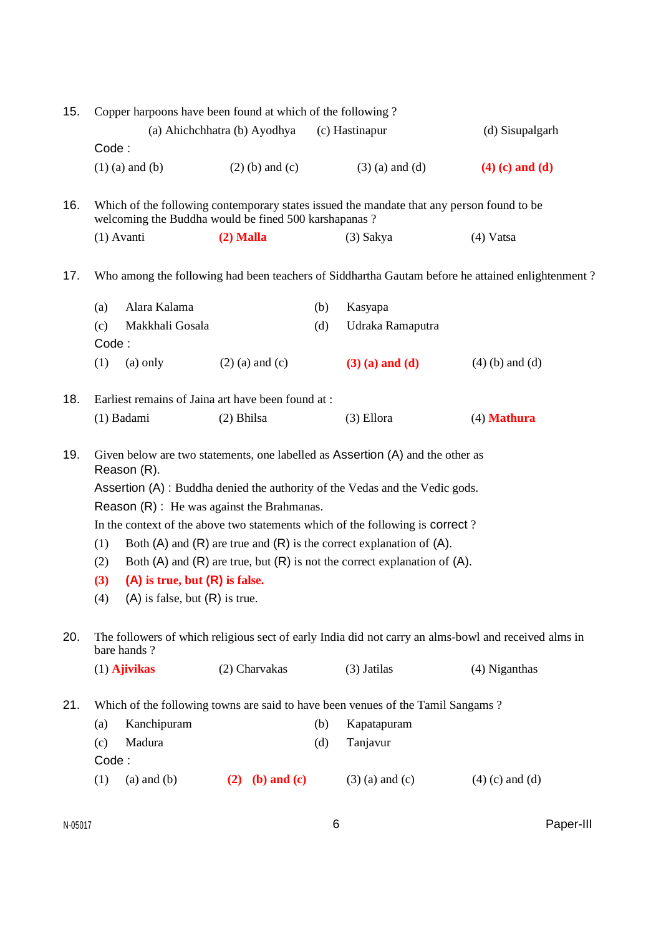| 15. | Copper harpoons have been found at which of the following?                                                                                                                                                                                                                                                                                                                                                                                                                                                                                                                                    |                       |                                                      |            |                                                                                                            |                                                                                                      |  |  |
|-----|-----------------------------------------------------------------------------------------------------------------------------------------------------------------------------------------------------------------------------------------------------------------------------------------------------------------------------------------------------------------------------------------------------------------------------------------------------------------------------------------------------------------------------------------------------------------------------------------------|-----------------------|------------------------------------------------------|------------|------------------------------------------------------------------------------------------------------------|------------------------------------------------------------------------------------------------------|--|--|
|     |                                                                                                                                                                                                                                                                                                                                                                                                                                                                                                                                                                                               |                       | (a) Ahichchhatra (b) Ayodhya                         |            | (c) Hastinapur                                                                                             | (d) Sisupalgarh                                                                                      |  |  |
|     | Code:                                                                                                                                                                                                                                                                                                                                                                                                                                                                                                                                                                                         |                       |                                                      |            |                                                                                                            |                                                                                                      |  |  |
|     |                                                                                                                                                                                                                                                                                                                                                                                                                                                                                                                                                                                               | $(1)$ (a) and (b)     | $(2)$ (b) and (c)                                    |            | $(3)$ (a) and (d)                                                                                          | $(4)$ (c) and (d)                                                                                    |  |  |
| 16. |                                                                                                                                                                                                                                                                                                                                                                                                                                                                                                                                                                                               |                       | welcoming the Buddha would be fined 500 karshapanas? |            | Which of the following contemporary states issued the mandate that any person found to be                  |                                                                                                      |  |  |
|     |                                                                                                                                                                                                                                                                                                                                                                                                                                                                                                                                                                                               | $(1)$ Avanti          | $(2)$ Malla                                          |            | $(3)$ Sakya                                                                                                | (4) Vatsa                                                                                            |  |  |
| 17. |                                                                                                                                                                                                                                                                                                                                                                                                                                                                                                                                                                                               |                       |                                                      |            |                                                                                                            | Who among the following had been teachers of Siddhartha Gautam before he attained enlightenment?     |  |  |
|     | (a)                                                                                                                                                                                                                                                                                                                                                                                                                                                                                                                                                                                           | Alara Kalama          |                                                      | (b)        | Kasyapa                                                                                                    |                                                                                                      |  |  |
|     | (c)                                                                                                                                                                                                                                                                                                                                                                                                                                                                                                                                                                                           | Makkhali Gosala       |                                                      | (d)        | Udraka Ramaputra                                                                                           |                                                                                                      |  |  |
|     | Code:                                                                                                                                                                                                                                                                                                                                                                                                                                                                                                                                                                                         |                       |                                                      |            |                                                                                                            |                                                                                                      |  |  |
|     | (1)                                                                                                                                                                                                                                                                                                                                                                                                                                                                                                                                                                                           | $(a)$ only            | $(2)$ (a) and (c)                                    |            | $(3)$ (a) and (d)                                                                                          | $(4)$ (b) and (d)                                                                                    |  |  |
| 18. |                                                                                                                                                                                                                                                                                                                                                                                                                                                                                                                                                                                               |                       | Earliest remains of Jaina art have been found at :   |            |                                                                                                            |                                                                                                      |  |  |
|     |                                                                                                                                                                                                                                                                                                                                                                                                                                                                                                                                                                                               | (1) Badami            | $(2)$ Bhilsa                                         |            | (3) Ellora                                                                                                 | $(4)$ Mathura                                                                                        |  |  |
| 19. | Given below are two statements, one labelled as Assertion (A) and the other as<br>Reason (R).<br>Assertion (A) : Buddha denied the authority of the Vedas and the Vedic gods.<br>Reason $(R)$ : He was against the Brahmanas.<br>In the context of the above two statements which of the following is correct?<br>Both $(A)$ and $(R)$ are true and $(R)$ is the correct explanation of $(A)$ .<br>(1)<br>Both $(A)$ and $(R)$ are true, but $(R)$ is not the correct explanation of $(A)$ .<br>(2)<br>$(A)$ is true, but $(R)$ is false.<br>(3)<br>$(A)$ is false, but $(R)$ is true.<br>(4) |                       |                                                      |            |                                                                                                            |                                                                                                      |  |  |
| 20. |                                                                                                                                                                                                                                                                                                                                                                                                                                                                                                                                                                                               | bare hands?           |                                                      |            |                                                                                                            | The followers of which religious sect of early India did not carry an alms-bowl and received alms in |  |  |
|     |                                                                                                                                                                                                                                                                                                                                                                                                                                                                                                                                                                                               | $(1)$ Ajivikas        | (2) Charvakas                                        |            | (3) Jatilas                                                                                                | (4) Niganthas                                                                                        |  |  |
| 21. | (a)<br>(c)<br>Code:                                                                                                                                                                                                                                                                                                                                                                                                                                                                                                                                                                           | Kanchipuram<br>Madura |                                                      | (b)<br>(d) | Which of the following towns are said to have been venues of the Tamil Sangams?<br>Kapatapuram<br>Tanjavur |                                                                                                      |  |  |
|     | (1)                                                                                                                                                                                                                                                                                                                                                                                                                                                                                                                                                                                           | $(a)$ and $(b)$       | $(2)$ (b) and (c)                                    |            | $(3)$ (a) and (c)                                                                                          | $(4)$ (c) and (d)                                                                                    |  |  |
|     |                                                                                                                                                                                                                                                                                                                                                                                                                                                                                                                                                                                               |                       |                                                      |            |                                                                                                            |                                                                                                      |  |  |

 $N-05017$  Paper-III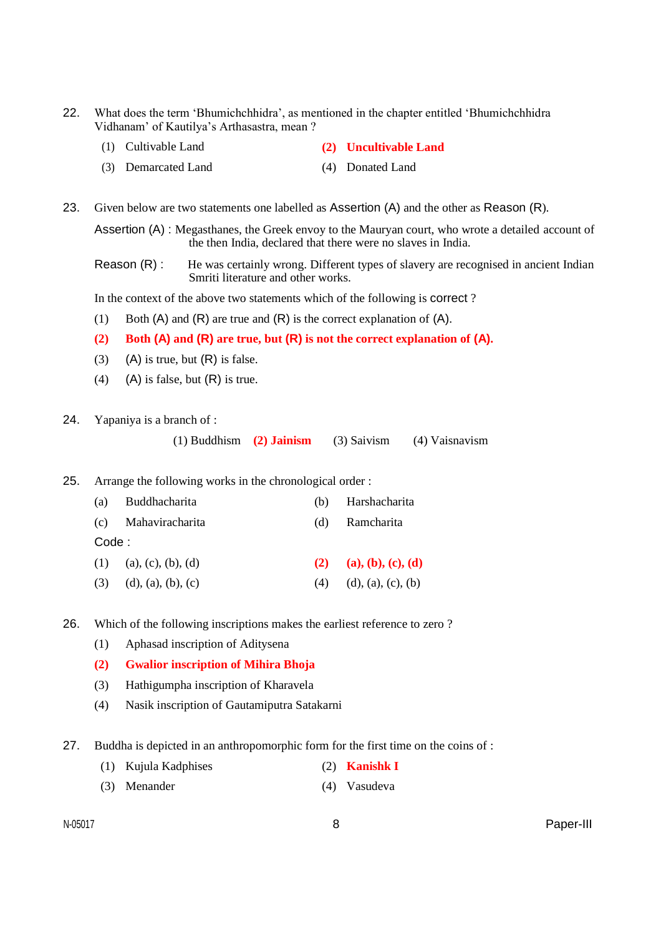- 22. What does the term 'Bhumichchhidra', as mentioned in the chapter entitled 'Bhumichchhidra Vidhanam' of Kautilya's Arthasastra, mean ?
	- (1) Cultivable Land **(2) Uncultivable Land**
	- (3) Demarcated Land (4) Donated Land
- 23. Given below are two statements one labelled as Assertion (A) and the other as Reason (R).

Assertion (A) : Megasthanes, the Greek envoy to the Mauryan court, who wrote a detailed account of the then India, declared that there were no slaves in India.

Reason (R) : He was certainly wrong. Different types of slavery are recognised in ancient Indian Smriti literature and other works.

In the context of the above two statements which of the following is correct ?

- (1) Both  $(A)$  and  $(R)$  are true and  $(R)$  is the correct explanation of  $(A)$ .
- **(2) Both (A) and (R) are true, but (R) is not the correct explanation of (A).**
- (3) (A) is true, but  $(R)$  is false.
- (4) (A) is false, but  $(R)$  is true.
- 24. Yapaniya is a branch of :

(1) Buddhism **(2) Jainism** (3) Saivism (4) Vaisnavism

25. Arrange the following works in the chronological order :

| (a)    | Buddhacharita              | (b) | Harshacharita      |
|--------|----------------------------|-----|--------------------|
|        | (c) Mahaviracharita        | (d) | Ramcharita         |
| Code : |                            |     |                    |
|        | $(1)$ (a), (c), (b), (d)   | (2) | (a), (b), (c), (d) |
|        | $(3)$ $(d), (a), (b), (c)$ | (4) | (d), (a), (c), (b) |

26. Which of the following inscriptions makes the earliest reference to zero ?

- (1) Aphasad inscription of Aditysena
- **(2) Gwalior inscription of Mihira Bhoja**
- (3) Hathigumpha inscription of Kharavela
- (4) Nasik inscription of Gautamiputra Satakarni
- 27. Buddha is depicted in an anthropomorphic form for the first time on the coins of :
	- (1) Kujula Kadphises (2) **Kanishk I**
	- (3) Menander (4) Vasudeva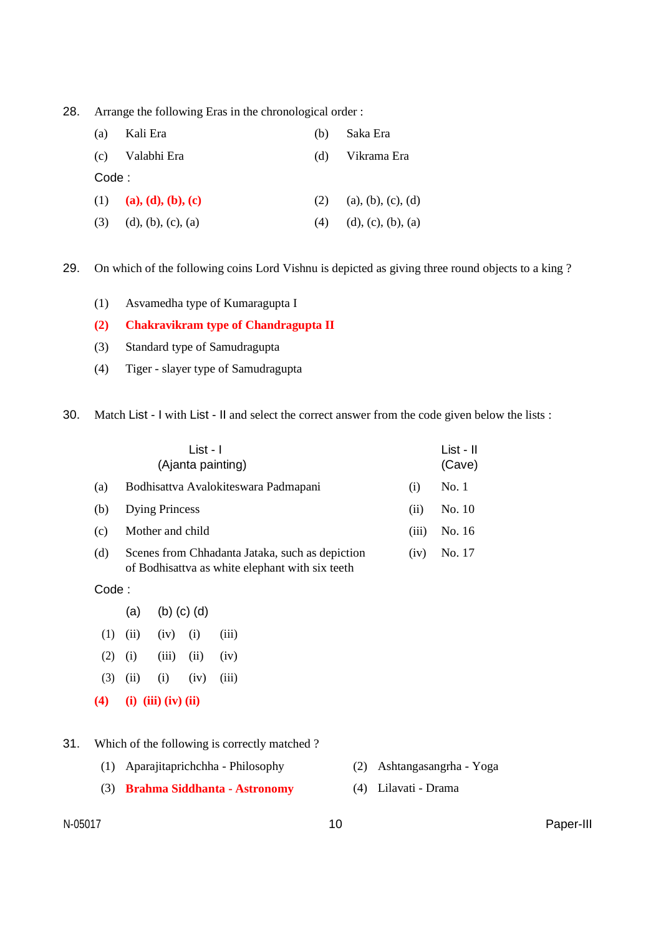28. Arrange the following Eras in the chronological order :

| (a)    | Kali Era               | (b) | Saka Era           |
|--------|------------------------|-----|--------------------|
|        | (c) Valabhi Era        | (d) | Vikrama Era        |
| Code : |                        |     |                    |
|        | (1) (a), (d), (b), (c) | (2) | (a), (b), (c), (d) |
| (3)    | (d), (b), (c), (a)     | (4) | (d), (c), (b), (a) |

29. On which of the following coins Lord Vishnu is depicted as giving three round objects to a king ?

(1) Asvamedha type of Kumaragupta I

### **(2) Chakravikram type of Chandragupta II**

- (3) Standard type of Samudragupta
- (4) Tiger slayer type of Samudragupta

30. Match List - I with List - II and select the correct answer from the code given below the lists :

|     | List - I<br>(Ajanta painting)                                                                      |       | List - II<br>(Cave) |
|-----|----------------------------------------------------------------------------------------------------|-------|---------------------|
| (a) | Bodhisattva Avalokiteswara Padmapani                                                               | (1)   | No.1                |
| (b) | <b>Dying Princess</b>                                                                              | (11)  | No. 10              |
| (c) | Mother and child                                                                                   | (111) | No. 16              |
| (d) | Scenes from Chhadanta Jataka, such as depiction<br>of Bodhisattva as white elephant with six teeth | (1V)  | No. 17              |

Code :

- (a) (b) (c) (d)
- $(1)$   $(ii)$   $(iv)$   $(i)$   $(iii)$
- (2) (i) (iii) (ii) (iv)
- $(3)$   $(ii)$   $(i)$   $(iv)$   $(iii)$
- **(4) (i) (iii) (iv) (ii)**
- 31. Which of the following is correctly matched ?
	- (1) Aparajitaprichchha Philosophy (2) Ashtangasangrha Yoga
	- (3) **Brahma Siddhanta - Astronomy** (4) Lilavati Drama
- -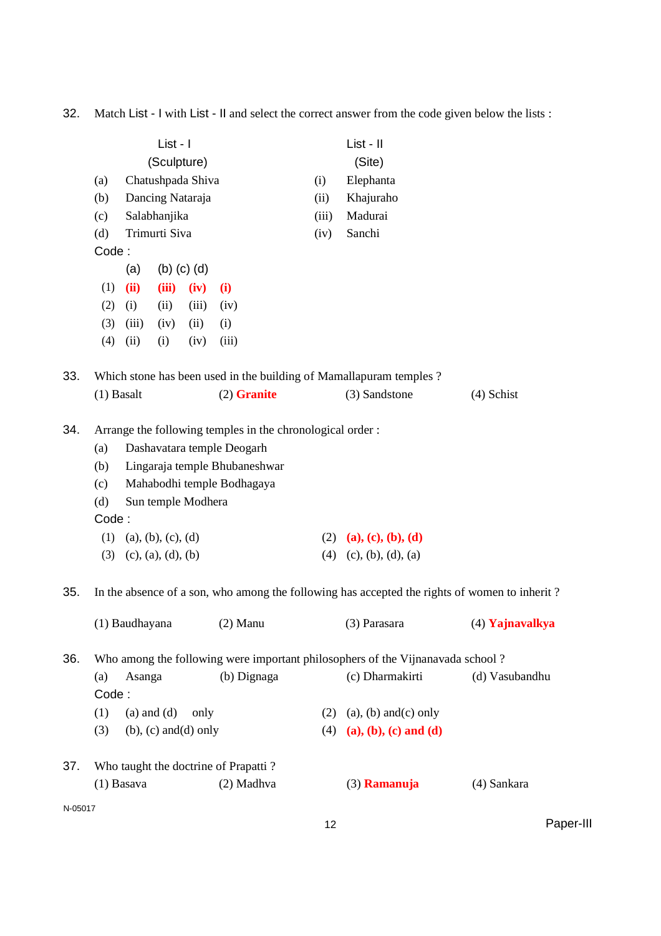32. Match List - I with List - II and select the correct answer from the code given below the lists :

|         | List - I                                       |                 |                    |                              |                                                            |       | List - II                                                                                     |                 |  |
|---------|------------------------------------------------|-----------------|--------------------|------------------------------|------------------------------------------------------------|-------|-----------------------------------------------------------------------------------------------|-----------------|--|
|         | (Sculpture)<br>Chatushpada Shiva<br>(a)<br>(i) |                 |                    |                              |                                                            |       | (Site)<br>Elephanta                                                                           |                 |  |
|         | (b)                                            |                 |                    | Dancing Nataraja             |                                                            | (ii)  | Khajuraho                                                                                     |                 |  |
|         | (c)                                            |                 | Salabhanjika       |                              |                                                            | (iii) | Madurai                                                                                       |                 |  |
|         | (d)                                            |                 | Trimurti Siva      |                              |                                                            | (iv)  | Sanchi                                                                                        |                 |  |
|         | Code:                                          |                 |                    |                              |                                                            |       |                                                                                               |                 |  |
|         |                                                | (a)             |                    | $(b)$ $(c)$ $(d)$            |                                                            |       |                                                                                               |                 |  |
|         | (1)                                            | (ii)            | (iii)              | (iv)                         | (i)                                                        |       |                                                                                               |                 |  |
|         | (2)                                            | (i)             | (ii)               | (iii)                        | (iv)                                                       |       |                                                                                               |                 |  |
|         | (3)                                            | (iii)           | (iv)               | (ii)                         | (i)                                                        |       |                                                                                               |                 |  |
|         | (4)                                            | (ii)            | (i)                | (iv)                         | (iii)                                                      |       |                                                                                               |                 |  |
| 33.     |                                                |                 |                    |                              |                                                            |       | Which stone has been used in the building of Mamallapuram temples ?                           |                 |  |
|         | $(1)$ Basalt                                   |                 |                    |                              | $(2)$ Granite                                              |       | (3) Sandstone                                                                                 | (4) Schist      |  |
| 34.     |                                                |                 |                    |                              | Arrange the following temples in the chronological order : |       |                                                                                               |                 |  |
|         | (a)                                            |                 |                    |                              | Dashavatara temple Deogarh                                 |       |                                                                                               |                 |  |
|         | (b)                                            |                 |                    |                              | Lingaraja temple Bhubaneshwar                              |       |                                                                                               |                 |  |
|         | (c)                                            |                 |                    |                              | Mahabodhi temple Bodhagaya                                 |       |                                                                                               |                 |  |
|         | (d)                                            |                 |                    | Sun temple Modhera           |                                                            |       |                                                                                               |                 |  |
|         | Code:                                          |                 |                    |                              |                                                            |       |                                                                                               |                 |  |
|         | (1)                                            |                 | (a), (b), (c), (d) |                              |                                                            |       | (2) (a), (c), (b), (d)                                                                        |                 |  |
|         | (3)                                            |                 | (c), (a), (d), (b) |                              |                                                            | (4)   | (c), (b), (d), (a)                                                                            |                 |  |
| 35.     |                                                |                 |                    |                              |                                                            |       | In the absence of a son, who among the following has accepted the rights of women to inherit? |                 |  |
|         |                                                | (1) Baudhayana  |                    |                              | $(2)$ Manu                                                 |       | (3) Parasara                                                                                  | (4) Yajnavalkya |  |
| 36.     |                                                |                 |                    |                              |                                                            |       | Who among the following were important philosophers of the Vijnanavada school?                |                 |  |
|         | (a)                                            | Asanga          |                    |                              | (b) Dignaga                                                |       | (c) Dharmakirti                                                                               | (d) Vasubandhu  |  |
|         | Code:                                          |                 |                    |                              |                                                            |       |                                                                                               |                 |  |
|         | (1)                                            | $(a)$ and $(d)$ |                    | only                         |                                                            |       | $(2)$ (a), (b) and (c) only                                                                   |                 |  |
|         | (3)                                            |                 |                    | $(b)$ , $(c)$ and $(d)$ only |                                                            |       | (4) (a), (b), (c) and (d)                                                                     |                 |  |
| 37.     |                                                |                 |                    |                              | Who taught the doctrine of Prapatti?                       |       |                                                                                               |                 |  |
|         |                                                | $(1)$ Basava    |                    |                              | (2) Madhva                                                 |       | (3) Ramanuja                                                                                  | (4) Sankara     |  |
| N-05017 |                                                |                 |                    |                              |                                                            |       |                                                                                               |                 |  |
|         |                                                |                 |                    |                              |                                                            | 12    |                                                                                               | Paper-III       |  |
|         |                                                |                 |                    |                              |                                                            |       |                                                                                               |                 |  |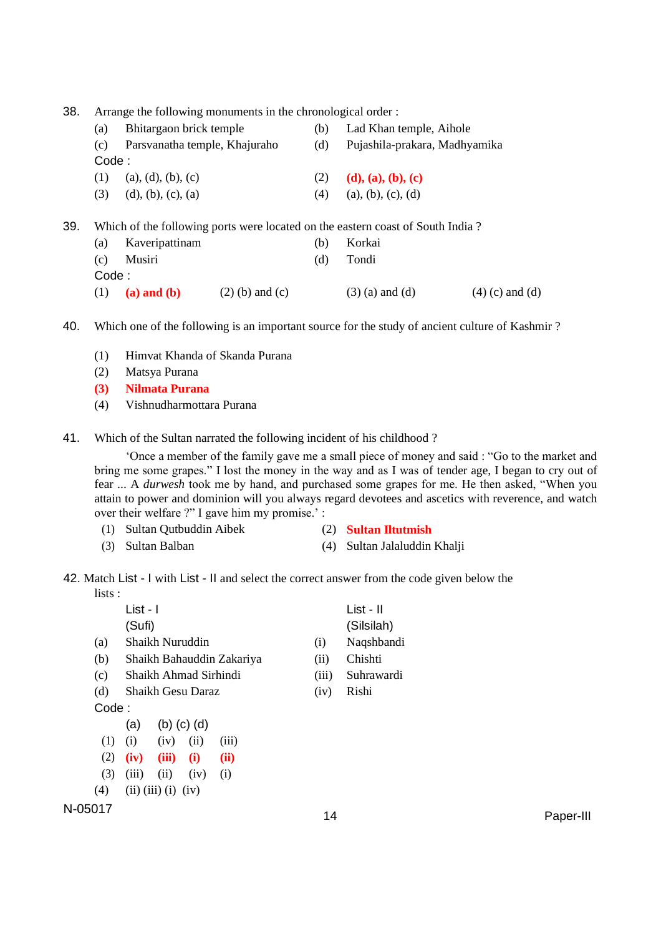38. Arrange the following monuments in the chronological order :

|     | (a)   | Bhitargaon brick temple       |                   |     | Lad Khan temple, Aihole                                                        |                   |  |
|-----|-------|-------------------------------|-------------------|-----|--------------------------------------------------------------------------------|-------------------|--|
|     | (c)   | Parsvanatha temple, Khajuraho |                   | (d) | Pujashila-prakara, Madhyamika                                                  |                   |  |
|     | Code: |                               |                   |     |                                                                                |                   |  |
|     | (1)   | (a), (d), (b), (c)            |                   | (2) | (d), (a), (b), (c)                                                             |                   |  |
|     | (3)   | (d), (b), (c), (a)            |                   | (4) | (a), (b), (c), (d)                                                             |                   |  |
| 39. |       |                               |                   |     | Which of the following ports were located on the eastern coast of South India? |                   |  |
|     | (a)   | Kaveripattinam                |                   | (b) | Korkai                                                                         |                   |  |
|     | (c)   | Musiri                        |                   | (d) | Tondi                                                                          |                   |  |
|     | Code: |                               |                   |     |                                                                                |                   |  |
|     | (1)   | $(a)$ and $(b)$               | $(2)$ (b) and (c) |     | $(3)$ (a) and (d)                                                              | $(4)$ (c) and (d) |  |

40. Which one of the following is an important source for the study of ancient culture of Kashmir ?

- (1) Himvat Khanda of Skanda Purana
- (2) Matsya Purana
- **(3) Nilmata Purana**
- (4) Vishnudharmottara Purana
- 41. Which of the Sultan narrated the following incident of his childhood ?

'Once a member of the family gave me a small piece of money and said : "Go to the market and bring me some grapes." I lost the money in the way and as I was of tender age, I began to cry out of fear ... A *durwesh* took me by hand, and purchased some grapes for me. He then asked, "When you attain to power and dominion will you always regard devotees and ascetics with reverence, and watch over their welfare ?" I gave him my promise.' :

- (1) Sultan Qutbuddin Aibek (2) **Sultan Iltutmish**
	-
- (3) Sultan Balban (4) Sultan Jalaluddin Khalji
- 42. Match List I with List II and select the correct answer from the code given below the lists :

|         |       | List - I |                             |                   |                           |       | List - II  |           |
|---------|-------|----------|-----------------------------|-------------------|---------------------------|-------|------------|-----------|
|         |       | (Sufi)   |                             |                   |                           |       | (Silsilah) |           |
|         | (a)   |          | Shaikh Nuruddin             |                   |                           | (i)   | Naqshbandi |           |
|         | (b)   |          |                             |                   | Shaikh Bahauddin Zakariya | (ii)  | Chishti    |           |
|         | (c)   |          | Shaikh Ahmad Sirhindi       |                   |                           | (iii) | Suhrawardi |           |
|         | (d)   |          | <b>Shaikh Gesu Daraz</b>    |                   |                           | (iv)  | Rishi      |           |
|         | Code: |          |                             |                   |                           |       |            |           |
|         |       | (a)      |                             | $(b)$ $(c)$ $(d)$ |                           |       |            |           |
|         | (1)   | (i)      | (iv)                        | (ii)              | (iii)                     |       |            |           |
|         | (2)   | (iv)     | (iii)                       | (i)               | (ii)                      |       |            |           |
|         | (3)   | (iii)    | (ii)                        | (iv)              | (i)                       |       |            |           |
|         | (4)   |          | $(ii)$ $(iii)$ $(i)$ $(iv)$ |                   |                           |       |            |           |
| N-05017 |       |          |                             |                   |                           |       |            |           |
|         |       |          |                             |                   |                           | 14    |            | Paper-III |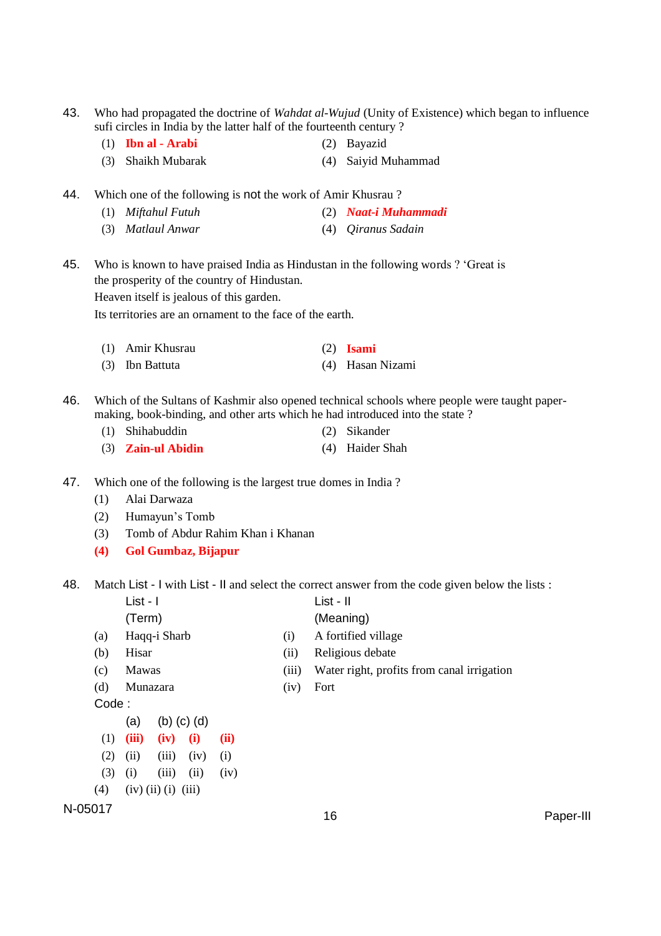- 43. Who had propagated the doctrine of *Wahdat al-Wujud* (Unity of Existence) which began to influence sufi circles in India by the latter half of the fourteenth century ?
	- (1) **Ibn al - Arabi** (2) Bayazid
	- (3) Shaikh Mubarak (4) Saiyid Muhammad
- 44. Which one of the following is not the work of Amir Khusrau ?
	- (1) *Miftahul Futuh* (2) *Naat-i Muhammadi*
	- (3) *Matlaul Anwar* (4) *Qiranus Sadain*
- 45. Who is known to have praised India as Hindustan in the following words ? 'Great is the prosperity of the country of Hindustan.

Heaven itself is jealous of this garden.

Its territories are an ornament to the face of the earth.

- (1) Amir Khusrau (2) **Isami**
- (3) Ibn Battuta (4) Hasan Nizami
- 46. Which of the Sultans of Kashmir also opened technical schools where people were taught papermaking, book-binding, and other arts which he had introduced into the state ?
	- (1) Shihabuddin (2) Sikander
	- (3) **Zain-ul Abidin** (4) Haider Shah
- 47. Which one of the following is the largest true domes in India ?
	- (1) Alai Darwaza
	- (2) Humayun's Tomb
	- (3) Tomb of Abdur Rahim Khan i Khanan
	- **(4) Gol Gumbaz, Bijapur**

48. Match List - I with List - II and select the correct answer from the code given below the lists :

- List I List II (Term) (Meaning)
- (a) Haqq-i Sharb (i) A fortified village
- (b) Hisar (ii) Religious debate
- (c) Mawas (iii) Water right, profits from canal irrigation
- (d) Munazara (iv) Fort
- 

- Code :
	- (a) (b) (c) (d)
- (1) **(iii) (iv) (i) (ii)**
- $(2)$   $(ii)$   $(iii)$   $(iv)$   $(i)$
- $(3)$  (i) (iii) (ii) (iv)
- $(4)$   $(iv)$  (ii) (i) (iii)
- N-05017<br>16 Paper-III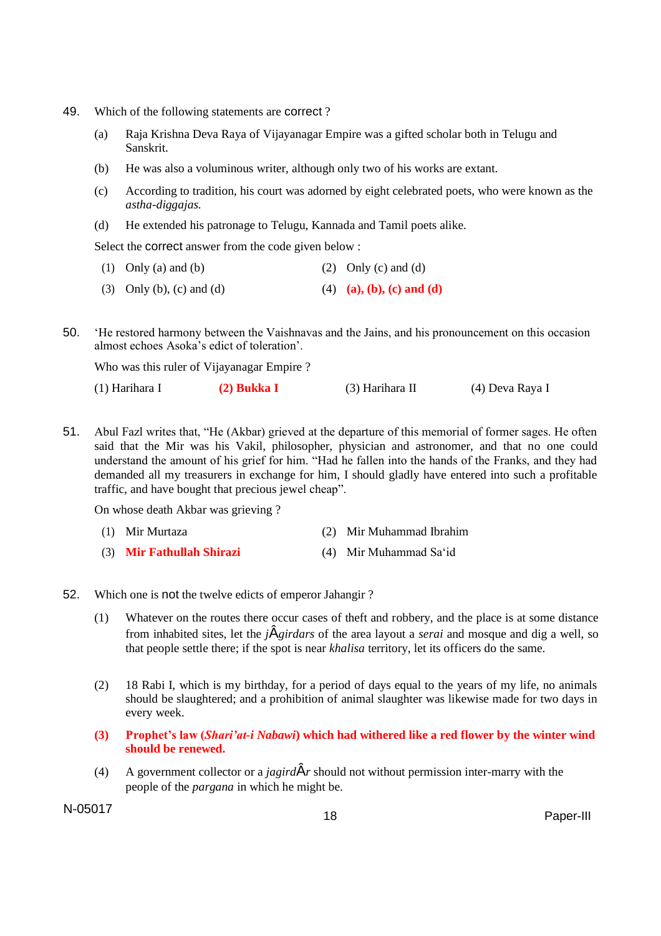- 49. Which of the following statements are correct ?
	- (a) Raja Krishna Deva Raya of Vijayanagar Empire was a gifted scholar both in Telugu and Sanskrit.
	- (b) He was also a voluminous writer, although only two of his works are extant.
	- (c) According to tradition, his court was adorned by eight celebrated poets, who were known as the *astha-diggajas.*
	- (d) He extended his patronage to Telugu, Kannada and Tamil poets alike.

Select the correct answer from the code given below :

- (1) Only (a) and (b) (2) Only (c) and (d)
- (3) Only (b), (c) and (d) (4) **(a), (b), (c) and (d)**

50. 'He restored harmony between the Vaishnavas and the Jains, and his pronouncement on this occasion almost echoes Asoka's edict of toleration'.

Who was this ruler of Vijayanagar Empire ?

| (1) Harihara I | $(2)$ Bukka I | $(3)$ Harihara II | (4) Deva Raya I |
|----------------|---------------|-------------------|-----------------|
|----------------|---------------|-------------------|-----------------|

51. Abul Fazl writes that, "He (Akbar) grieved at the departure of this memorial of former sages. He often said that the Mir was his Vakil, philosopher, physician and astronomer, and that no one could understand the amount of his grief for him. "Had he fallen into the hands of the Franks, and they had demanded all my treasurers in exchange for him, I should gladly have entered into such a profitable traffic, and have bought that precious jewel cheap".

On whose death Akbar was grieving ?

- (1) Mir Murtaza (2) Mir Muhammad Ibrahim
- (3) **Mir Fathullah Shirazi** (4) Mir Muhammad Sa'id
- 52. Which one is not the twelve edicts of emperor Jahangir ?
	- (1) Whatever on the routes there occur cases of theft and robbery, and the place is at some distance from inhabited sites, let the *j*Â*girdars* of the area layout a *serai* and mosque and dig a well, so that people settle there; if the spot is near *khalisa* territory, let its officers do the same.
	- (2) 18 Rabi I, which is my birthday, for a period of days equal to the years of my life, no animals should be slaughtered; and a prohibition of animal slaughter was likewise made for two days in every week.
	- **(3) Prophet's law (***Shari'at-i Nabawi***) which had withered like a red flower by the winter wind should be renewed.**
	- (4) A government collector or a *jagird* $\hat{A}$ *r* should not without permission inter-marry with the people of the *pargana* in which he might be.

N-05017 <sup>18</sup> Paper-III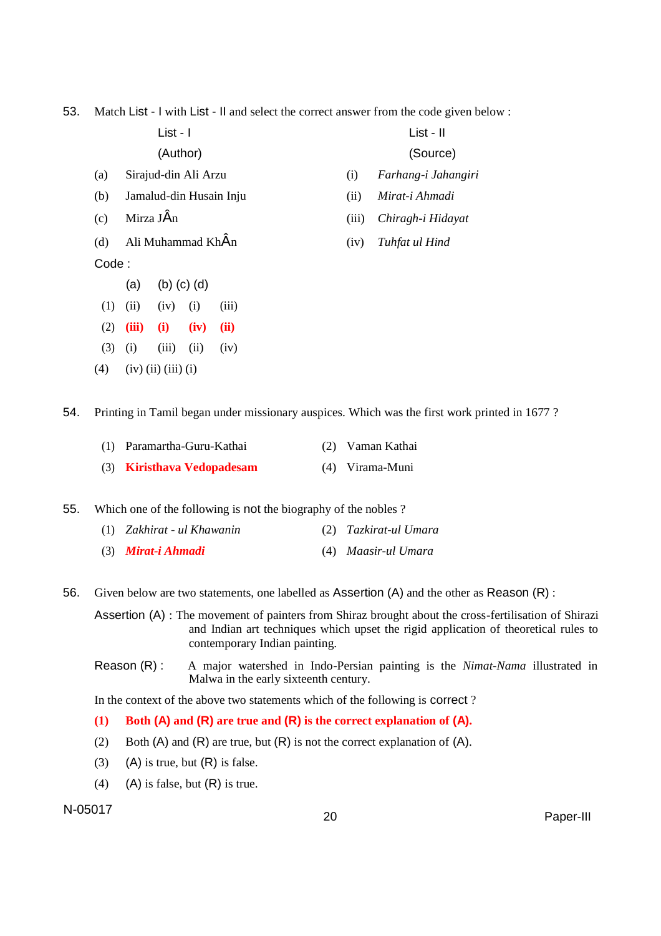53. Match List - I with List - II and select the correct answer from the code given below :

List - I List - II (Author) (Source)

(a) Sirajud-din Ali Arzu (i) *Farhang-i Jahangiri*

(b) Jamalud-din Husain Inju (ii) *Mirat-i Ahmadi*

(d) Ali Muhammad KhÂn (iv) *Tuhfat ul Hind*

Code :

- (a) (b) (c) (d)
- $(1)$   $(ii)$   $(iv)$   $(i)$   $(iii)$
- (2) **(iii) (i) (iv) (ii)**
- $(3)$  (i) (iii) (ii) (iv)
- $(4)$   $(iv)$   $(ii)$   $(iii)$   $(i)$

54. Printing in Tamil began under missionary auspices. Which was the first work printed in 1677 ?

| (1) Paramartha-Guru-Kathai | (2) Vaman Kathai |
|----------------------------|------------------|
| (3) Kiristhava Vedopadesam | (4) Virama-Muni  |

55. Which one of the following is not the biography of the nobles ?

- (1) *Zakhirat - ul Khawanin* (2) *Tazkirat-ul Umara*
- (3) *Mirat-i Ahmadi* (4) *Maasir-ul Umara*
- 56. Given below are two statements, one labelled as Assertion (A) and the other as Reason (R) :

Assertion (A) : The movement of painters from Shiraz brought about the cross-fertilisation of Shirazi and Indian art techniques which upset the rigid application of theoretical rules to contemporary Indian painting.

Reason (R) : A major watershed in Indo-Persian painting is the *Nimat-Nama* illustrated in Malwa in the early sixteenth century.

In the context of the above two statements which of the following is correct ?

### **(1) Both (A) and (R) are true and (R) is the correct explanation of (A).**

- (2) Both  $(A)$  and  $(R)$  are true, but  $(R)$  is not the correct explanation of  $(A)$ .
- (3) (A) is true, but  $(R)$  is false.
- (4) (A) is false, but  $(R)$  is true.

# N-05017 <sup>20</sup> Paper-III

- 
- 
- (c) Mirza JÂn (iii) *Chiragh-i Hidayat*
	-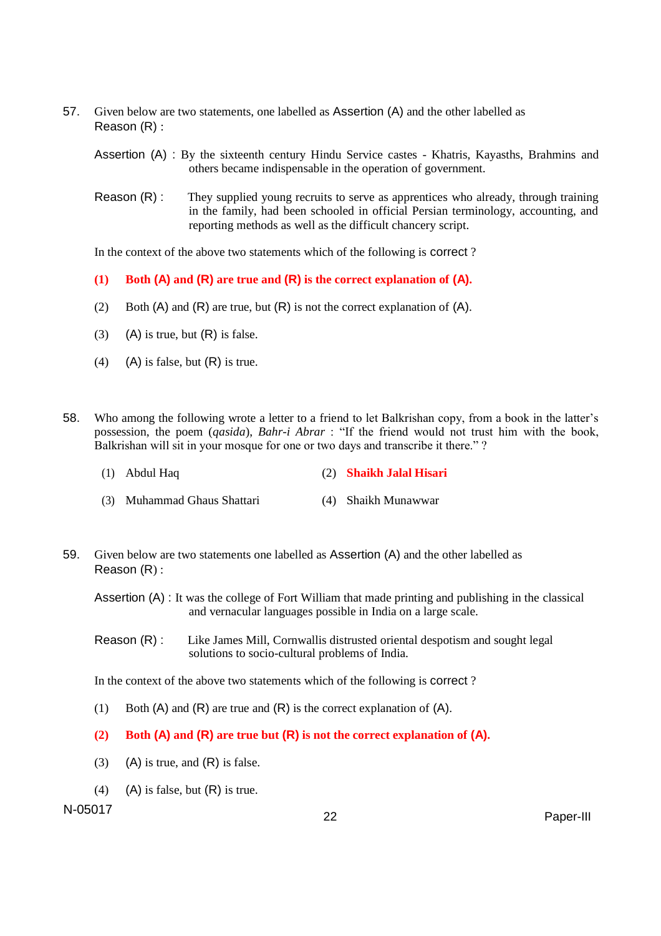57. Given below are two statements, one labelled as Assertion (A) and the other labelled as Reason (R) :

Assertion (A) : By the sixteenth century Hindu Service castes - Khatris, Kayasths, Brahmins and others became indispensable in the operation of government.

Reason (R) : They supplied young recruits to serve as apprentices who already, through training in the family, had been schooled in official Persian terminology, accounting, and reporting methods as well as the difficult chancery script.

In the context of the above two statements which of the following is correct ?

- **(1) Both (A) and (R) are true and (R) is the correct explanation of (A).**
- (2) Both  $(A)$  and  $(R)$  are true, but  $(R)$  is not the correct explanation of  $(A)$ .
- (3) (A) is true, but  $(R)$  is false.
- (4) (A) is false, but  $(R)$  is true.
- 58. Who among the following wrote a letter to a friend to let Balkrishan copy, from a book in the latter's possession, the poem (*qasida*), *Bahr-i Abrar* : "If the friend would not trust him with the book, Balkrishan will sit in your mosque for one or two days and transcribe it there."?
	- (1) Abdul Haq (2) **Shaikh Jalal Hisari**
	- (3) Muhammad Ghaus Shattari (4) Shaikh Munawwar
- 59. Given below are two statements one labelled as Assertion (A) and the other labelled as Reason (R) :

Assertion (A) : It was the college of Fort William that made printing and publishing in the classical and vernacular languages possible in India on a large scale.

Reason (R) : Like James Mill, Cornwallis distrusted oriental despotism and sought legal solutions to socio-cultural problems of India.

In the context of the above two statements which of the following is correct ?

- (1) Both  $(A)$  and  $(R)$  are true and  $(R)$  is the correct explanation of  $(A)$ .
- **(2) Both (A) and (R) are true but (R) is not the correct explanation of (A).**
- (3) (A) is true, and  $(R)$  is false.
- (4) (A) is false, but  $(R)$  is true.

N-05017 22 Paper-III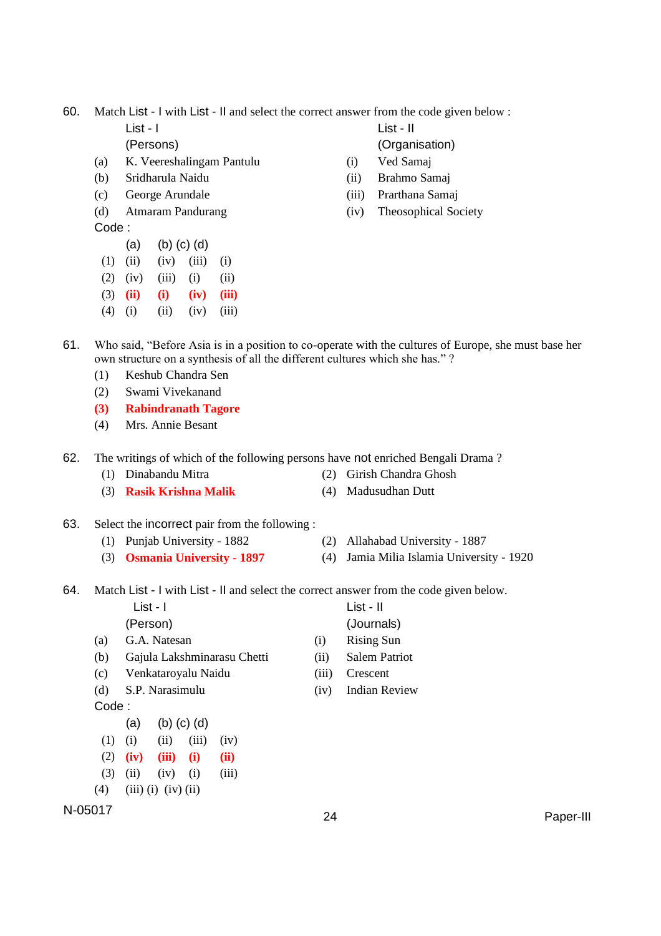60. Match List - I with List - II and select the correct answer from the code given below :

- 
- (a) K. Veereshalingam Pantulu (i) Ved Samaj
- (b) Sridharula Naidu (ii) Brahmo Samaj
- 
- Code :
	- (a) (b) (c) (d)
- $(1)$   $(ii)$   $(iv)$   $(iii)$   $(i)$
- $(2)$   $(iv)$   $(iii)$   $(i)$   $(ii)$
- (3) **(ii) (i) (iv) (iii)**
- $(4)$  (i) (ii) (iv) (iii)

List - I List - II

(Persons) (Organisation)

- 
- 
- (c) George Arundale (iii) Prarthana Samaj
- (d) Atmaram Pandurang (iv) Theosophical Society

- 61. Who said, "Before Asia is in a position to co-operate with the cultures of Europe, she must base her own structure on a synthesis of all the different cultures which she has." ?
	- (1) Keshub Chandra Sen
	- (2) Swami Vivekanand
	- **(3) Rabindranath Tagore**
	- (4) Mrs. Annie Besant
- 62. The writings of which of the following persons have not enriched Bengali Drama ?
	- (1) Dinabandu Mitra (2) Girish Chandra Ghosh
	- (3) **Rasik Krishna Malik** (4) Madusudhan Dutt
- 63. Select the incorrect pair from the following :
	- (1) Punjab University 1882 (2) Allahabad University 1887
	- (3) **Osmania University - 1897** (4) Jamia Milia Islamia University 1920
- 64. Match List I with List II and select the correct answer from the code given below.

|       |          | List - I                    |                   |                             |                      | List - II            |
|-------|----------|-----------------------------|-------------------|-----------------------------|----------------------|----------------------|
|       | (Person) |                             |                   |                             |                      | (Journals)           |
| (a)   |          | G.A. Natesan                |                   |                             | (i)                  | <b>Rising Sun</b>    |
| (b)   |          |                             |                   | Gajula Lakshminarasu Chetti | (ii)                 | <b>Salem Patriot</b> |
| (c)   |          | Venkataroyalu Naidu         |                   |                             | (iii)                | Crescent             |
| (d)   |          | S.P. Narasimulu             |                   | (iv)                        | <b>Indian Review</b> |                      |
| Code: |          |                             |                   |                             |                      |                      |
|       | (a)      |                             | $(b)$ $(c)$ $(d)$ |                             |                      |                      |
| (1)   | (i)      | (ii)                        | (iii)             | (iv)                        |                      |                      |
| (2)   | (iv)     | (iii)                       | (i)               | (ii)                        |                      |                      |
| (3)   | (ii)     | (iv)                        | (i)               | (iii)                       |                      |                      |
| (4)   |          | $(iii)$ $(i)$ $(iv)$ $(ii)$ |                   |                             |                      |                      |

N-05017 <sup>24</sup> Paper-III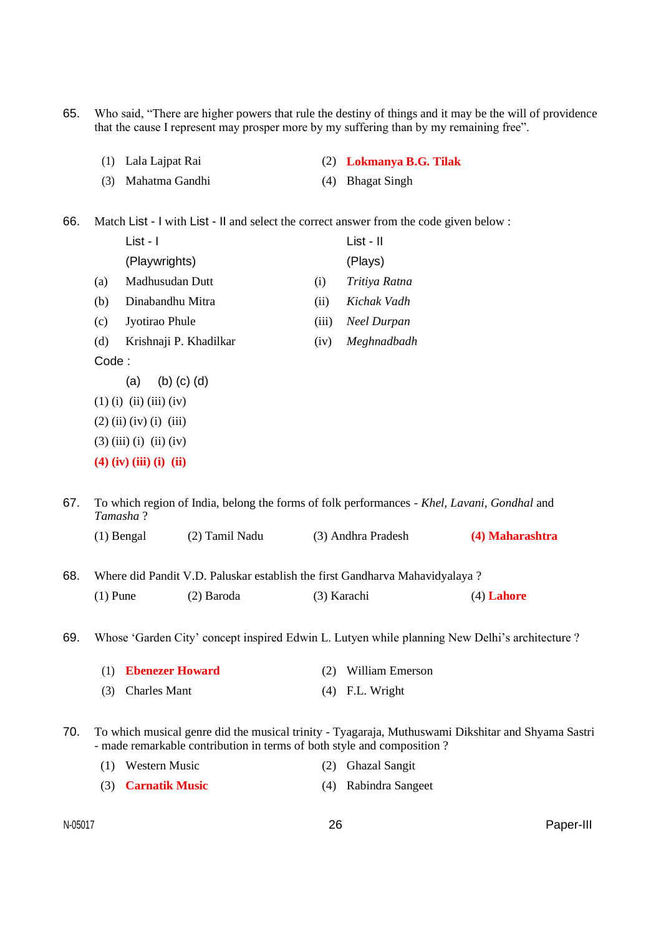65. Who said, "There are higher powers that rule the destiny of things and it may be the will of providence that the cause I represent may prosper more by my suffering than by my remaining free".

- (1) Lala Lajpat Rai (2) **Lokmanya B.G. Tilak**
- (3) Mahatma Gandhi (4) Bhagat Singh

66. Match List - I with List - II and select the correct answer from the code given below :

|                                                                                                       |                                                                                                                                                                              | List - I                  |                   |             | List - II              |                 |  |  |
|-------------------------------------------------------------------------------------------------------|------------------------------------------------------------------------------------------------------------------------------------------------------------------------------|---------------------------|-------------------|-------------|------------------------|-----------------|--|--|
|                                                                                                       |                                                                                                                                                                              | (Playwrights)             |                   | (Plays)     |                        |                 |  |  |
|                                                                                                       | (a)                                                                                                                                                                          | Madhusudan Dutt           |                   | (i)         | Tritiya Ratna          |                 |  |  |
|                                                                                                       | (b)                                                                                                                                                                          | Dinabandhu Mitra          |                   | (ii)        | Kichak Vadh            |                 |  |  |
|                                                                                                       | (c)                                                                                                                                                                          | Jyotirao Phule            |                   | (iii)       | <b>Neel Durpan</b>     |                 |  |  |
|                                                                                                       | (d)                                                                                                                                                                          | Krishnaji P. Khadilkar    |                   | (iv)        | Meghnadbadh            |                 |  |  |
|                                                                                                       | Code:                                                                                                                                                                        |                           |                   |             |                        |                 |  |  |
|                                                                                                       |                                                                                                                                                                              | (a)                       | $(b)$ $(c)$ $(d)$ |             |                        |                 |  |  |
|                                                                                                       |                                                                                                                                                                              | $(1)$ (i) (ii) (iii) (iv) |                   |             |                        |                 |  |  |
|                                                                                                       | $(2)$ (ii) (iv) (i) (iii)<br>$(3)$ (iii) (i) (ii) (iv)                                                                                                                       |                           |                   |             |                        |                 |  |  |
|                                                                                                       |                                                                                                                                                                              |                           |                   |             |                        |                 |  |  |
|                                                                                                       |                                                                                                                                                                              | $(4)$ (iv) (iii) (i) (ii) |                   |             |                        |                 |  |  |
|                                                                                                       |                                                                                                                                                                              |                           |                   |             |                        |                 |  |  |
| 67.                                                                                                   | To which region of India, belong the forms of folk performances - Khel, Lavani, Gondhal and<br>Tamasha?                                                                      |                           |                   |             |                        |                 |  |  |
|                                                                                                       |                                                                                                                                                                              | $(1)$ Bengal              | (2) Tamil Nadu    |             | (3) Andhra Pradesh     | (4) Maharashtra |  |  |
| 68.                                                                                                   | Where did Pandit V.D. Paluskar establish the first Gandharva Mahavidyalaya?                                                                                                  |                           |                   |             |                        |                 |  |  |
|                                                                                                       | $(1)$ Pune                                                                                                                                                                   |                           | (2) Baroda        | (3) Karachi |                        | $(4)$ Lahore    |  |  |
| 69.<br>Whose 'Garden City' concept inspired Edwin L. Lutyen while planning New Delhi's architecture ? |                                                                                                                                                                              |                           |                   |             |                        |                 |  |  |
|                                                                                                       | (1)                                                                                                                                                                          | <b>Ebenezer Howard</b>    |                   |             | William Emerson<br>(2) |                 |  |  |
|                                                                                                       | (3)                                                                                                                                                                          | <b>Charles Mant</b>       |                   | (4)         | F.L. Wright            |                 |  |  |
| 70.                                                                                                   | To which musical genre did the musical trinity - Tyagaraja, Muthuswami Dikshitar and Shyama Sastri<br>- made remarkable contribution in terms of both style and composition? |                           |                   |             |                        |                 |  |  |

| (1) Western Music | (2) Ghazal Sangit |
|-------------------|-------------------|
|                   |                   |

(3) **Carnatik Music** (4) Rabindra Sangeet

N-05017 26 Paper-III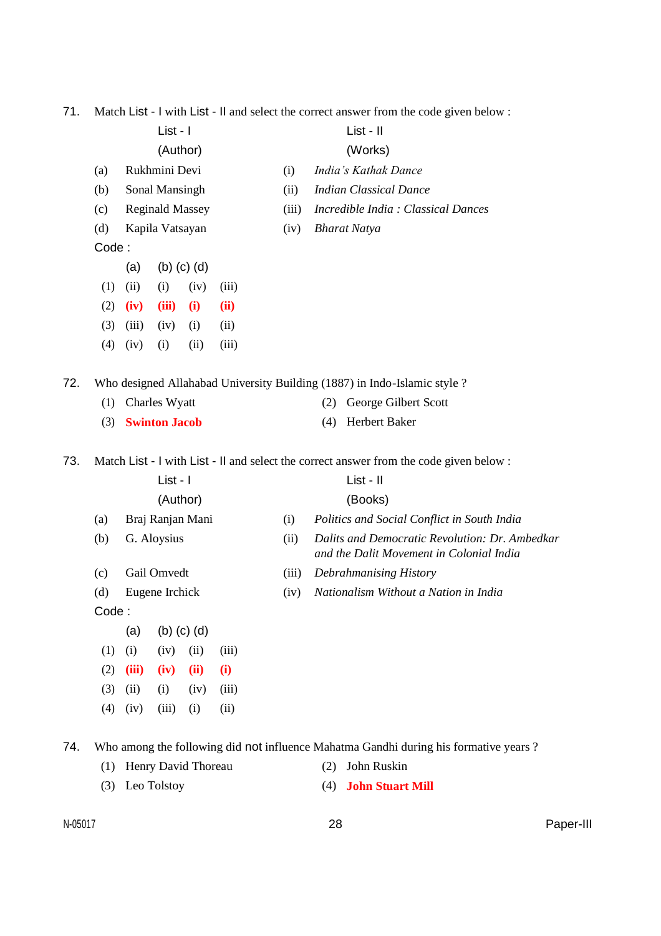71. Match List - I with List - II and select the correct answer from the code given below :

|     | List - I                                                                                |                          |                  |      |       |       | List - II                                                                                  |                                                                                      |  |  |
|-----|-----------------------------------------------------------------------------------------|--------------------------|------------------|------|-------|-------|--------------------------------------------------------------------------------------------|--------------------------------------------------------------------------------------|--|--|
|     | (Author)                                                                                |                          |                  |      |       |       | (Works)                                                                                    |                                                                                      |  |  |
|     | (a)                                                                                     | Rukhmini Devi            |                  |      |       | (i)   |                                                                                            | India's Kathak Dance                                                                 |  |  |
|     | (b)                                                                                     | Sonal Mansingh           |                  |      |       | (ii)  |                                                                                            | <b>Indian Classical Dance</b>                                                        |  |  |
|     | (c)                                                                                     | <b>Reginald Massey</b>   |                  |      |       | (iii) | Incredible India: Classical Dances                                                         |                                                                                      |  |  |
|     | Kapila Vatsayan<br>(d)                                                                  |                          |                  |      |       | (iv)  |                                                                                            | <b>Bharat Natya</b>                                                                  |  |  |
|     | Code:                                                                                   |                          |                  |      |       |       |                                                                                            |                                                                                      |  |  |
|     |                                                                                         | $(b)$ $(c)$ $(d)$<br>(a) |                  |      |       |       |                                                                                            |                                                                                      |  |  |
|     | (1)                                                                                     | (ii)                     | (i)              | (iv) | (iii) |       |                                                                                            |                                                                                      |  |  |
|     | (2)                                                                                     | (iv)                     | (iii)            | (i)  | (ii)  |       |                                                                                            |                                                                                      |  |  |
|     | (3)                                                                                     | (iii)                    | (iv)             | (i)  | (ii)  |       |                                                                                            |                                                                                      |  |  |
|     | (4)                                                                                     | (iv)                     | (i)              | (ii) | (iii) |       |                                                                                            |                                                                                      |  |  |
| 72. | Who designed Allahabad University Building (1887) in Indo-Islamic style ?               |                          |                  |      |       |       |                                                                                            |                                                                                      |  |  |
|     | (1)                                                                                     |                          | Charles Wyatt    |      |       |       | George Gilbert Scott<br>(2)                                                                |                                                                                      |  |  |
|     | (3)                                                                                     | <b>Swinton Jacob</b>     |                  |      |       |       | (4)                                                                                        | Herbert Baker                                                                        |  |  |
| 73. | Match List - I with List - II and select the correct answer from the code given below : |                          |                  |      |       |       |                                                                                            |                                                                                      |  |  |
|     | List - I                                                                                |                          |                  |      |       |       | List - II                                                                                  |                                                                                      |  |  |
|     |                                                                                         |                          | (Author)         |      |       |       |                                                                                            | (Books)                                                                              |  |  |
|     | (a)                                                                                     |                          | Braj Ranjan Mani |      |       | (i)   | Politics and Social Conflict in South India                                                |                                                                                      |  |  |
|     | (b)                                                                                     | G. Aloysius              |                  |      |       | (ii)  | Dalits and Democratic Revolution: Dr. Ambedkar<br>and the Dalit Movement in Colonial India |                                                                                      |  |  |
|     | (c)                                                                                     | Gail Omvedt              |                  |      |       | (iii) |                                                                                            | Debrahmanising History                                                               |  |  |
|     | (d)                                                                                     | Eugene Irchick           |                  |      |       | (iv)  |                                                                                            | Nationalism Without a Nation in India                                                |  |  |
|     | Code:                                                                                   |                          |                  |      |       |       |                                                                                            |                                                                                      |  |  |
|     |                                                                                         | $(b)$ $(c)$ $(d)$<br>(a) |                  |      |       |       |                                                                                            |                                                                                      |  |  |
|     | (1)                                                                                     | (i)                      | (iv)             | (ii) | (iii) |       |                                                                                            |                                                                                      |  |  |
|     | (2)                                                                                     | (iii)                    | (iv)             | (ii) | (i)   |       |                                                                                            |                                                                                      |  |  |
|     | (3)                                                                                     | (ii)                     | (i)              | (iv) | (iii) |       |                                                                                            |                                                                                      |  |  |
|     | (4)                                                                                     | (iv)                     | (iii)            | (i)  | (ii)  |       |                                                                                            |                                                                                      |  |  |
| 74. |                                                                                         |                          |                  |      |       |       |                                                                                            | Who among the following did not influence Mahatma Gandhi during his formative years? |  |  |
|     | Henry David Thoreau<br>(1)                                                              |                          |                  |      |       |       | (2)                                                                                        | John Ruskin                                                                          |  |  |
|     | (3)                                                                                     | Leo Tolstoy              |                  |      |       |       | (4)                                                                                        | <b>John Stuart Mill</b>                                                              |  |  |